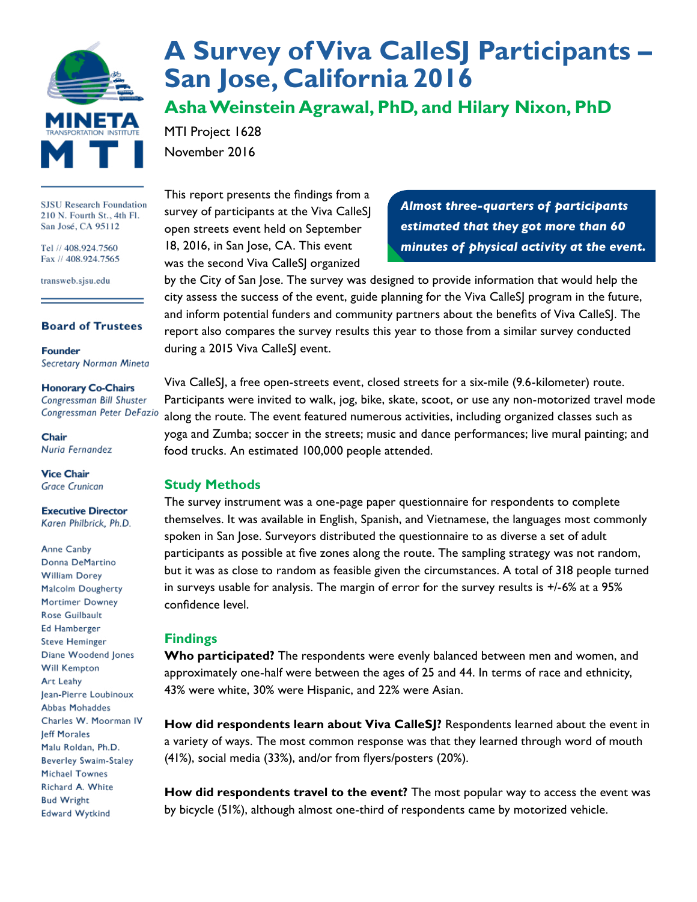

#### **SJSU Research Foundation** 210 N. Fourth St., 4th Fl. San José, CA 95112

Tel // 408.924.7560 Fax // 408.924.7565

transweb.sjsu.edu

#### **Board of Trustees**

**Founder Secretary Norman Mineta** 

#### **Honorary Co-Chairs**

Congressman Bill Shuster Congressman Peter DeFazio

Chair Nuria Fernandez

**Vice Chair Grace Crunican** 

**Executive Director** Karen Philbrick, Ph.D.

Anne Canby Donna DeMartino **William Dorey** Malcolm Dougherty Mortimer Downey Rose Guilbault **Ed Hamberger Steve Heminger** Diane Woodend Jones **Will Kempton** Art Leahy Jean-Pierre Loubinoux Abbas Mohaddes Charles W. Moorman IV leff Morales Malu Roldan, Ph.D. **Beverley Swaim-Staley Michael Townes** Richard A. White **Bud Wright Edward Wytkind** 

# **[A Survey of Viva CalleSJ Participants –](http://transweb.sjsu.edu/project/1628.html)  [San Jose, California 2016](http://transweb.sjsu.edu/project/1628.html)**

**Asha Weinstein Agrawal, PhD, and Hilary Nixon, PhD**

MTI Project 1628 November 2016

This report presents the findings from a survey of participants at the Viva CalleSJ open streets event held on September 18, 2016, in San Jose, CA. This event was the second Viva CalleSJ organized

*Almost three-quarters of participants estimated that they got more than 60 minutes of physical activity at the event.*

by the City of San Jose. The survey was designed to provide information that would help the city assess the success of the event, guide planning for the Viva CalleSJ program in the future, and inform potential funders and community partners about the benefits of Viva CalleSJ. The report also compares the survey results this year to those from a similar survey conducted during a 2015 Viva CalleSJ event.

Viva CalleSJ, a free open-streets event, closed streets for a six-mile (9.6-kilometer) route. Participants were invited to walk, jog, bike, skate, scoot, or use any non-motorized travel mode along the route. The event featured numerous activities, including organized classes such as yoga and Zumba; soccer in the streets; music and dance performances; live mural painting; and food trucks. An estimated 100,000 people attended.

### **Study Methods**

The survey instrument was a one-page paper questionnaire for respondents to complete themselves. It was available in English, Spanish, and Vietnamese, the languages most commonly spoken in San Jose. Surveyors distributed the questionnaire to as diverse a set of adult participants as possible at five zones along the route. The sampling strategy was not random, but it was as close to random as feasible given the circumstances. A total of 318 people turned in surveys usable for analysis. The margin of error for the survey results is +/-6% at a 95% confidence level.

## **Findings**

**Who participated?** The respondents were evenly balanced between men and women, and approximately one-half were between the ages of 25 and 44. In terms of race and ethnicity, 43% were white, 30% were Hispanic, and 22% were Asian.

**How did respondents learn about Viva CalleSJ?** Respondents learned about the event in a variety of ways. The most common response was that they learned through word of mouth (41%), social media (33%), and/or from flyers/posters (20%).

**How did respondents travel to the event?** The most popular way to access the event was by bicycle (51%), although almost one-third of respondents came by motorized vehicle.